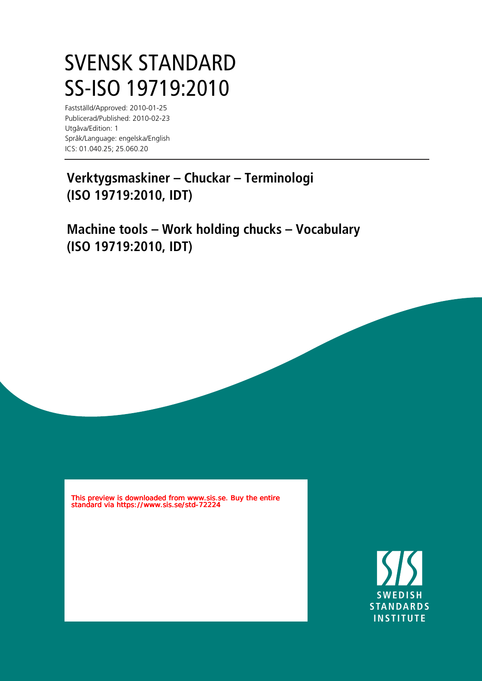## SVENSK STANDARD SS-ISO 19719:2010

Fastställd/Approved: 2010-01-25 Publicerad/Published: 2010-02-23 Utgåva/Edition: 1 Språk/Language: engelska/English ICS: 01.040.25; 25.060.20

## **Verktygsmaskiner – Chuckar – Terminologi (ISO 19719:2010, IDT)**

## **Machine tools – Work holding chucks – Vocabulary (ISO 19719:2010, IDT)**

This preview is downloaded from www.sis.se. Buy the entire standard via https://www.sis.se/std-72224

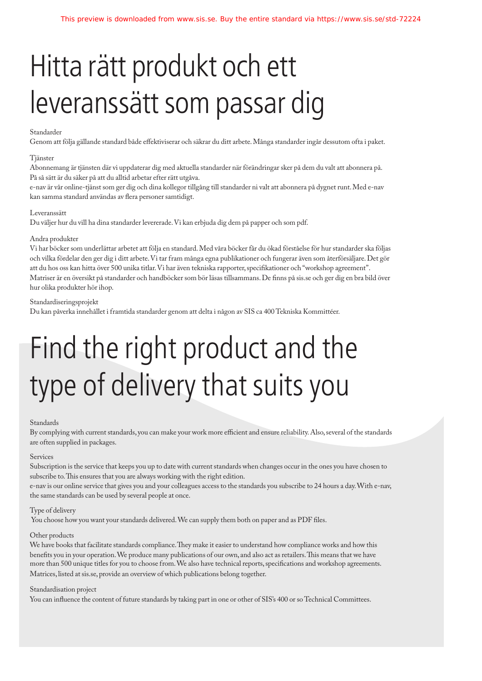## Hitta rätt produkt och ett leveranssätt som passar dig

#### Standarder

Genom att följa gällande standard både effektiviserar och säkrar du ditt arbete. Många standarder ingår dessutom ofta i paket.

#### Tjänster

Abonnemang är tjänsten där vi uppdaterar dig med aktuella standarder när förändringar sker på dem du valt att abonnera på. På så sätt är du säker på att du alltid arbetar efter rätt utgåva.

e-nav är vår online-tjänst som ger dig och dina kollegor tillgång till standarder ni valt att abonnera på dygnet runt. Med e-nav kan samma standard användas av flera personer samtidigt.

#### Leveranssätt

Du väljer hur du vill ha dina standarder levererade. Vi kan erbjuda dig dem på papper och som pdf.

#### Andra produkter

Vi har böcker som underlättar arbetet att följa en standard. Med våra böcker får du ökad förståelse för hur standarder ska följas och vilka fördelar den ger dig i ditt arbete. Vi tar fram många egna publikationer och fungerar även som återförsäljare. Det gör att du hos oss kan hitta över 500 unika titlar. Vi har även tekniska rapporter, specikationer och "workshop agreement". Matriser är en översikt på standarder och handböcker som bör läsas tillsammans. De finns på sis.se och ger dig en bra bild över hur olika produkter hör ihop.

#### Standardiseringsprojekt

Du kan påverka innehållet i framtida standarder genom att delta i någon av SIS ca 400 Tekniska Kommittéer.

# Find the right product and the type of delivery that suits you

#### Standards

By complying with current standards, you can make your work more efficient and ensure reliability. Also, several of the standards are often supplied in packages.

#### Services

Subscription is the service that keeps you up to date with current standards when changes occur in the ones you have chosen to subscribe to. This ensures that you are always working with the right edition.

e-nav is our online service that gives you and your colleagues access to the standards you subscribe to 24 hours a day. With e-nav, the same standards can be used by several people at once.

#### Type of delivery

You choose how you want your standards delivered. We can supply them both on paper and as PDF files.

#### Other products

We have books that facilitate standards compliance. They make it easier to understand how compliance works and how this benefits you in your operation. We produce many publications of our own, and also act as retailers. This means that we have more than 500 unique titles for you to choose from. We also have technical reports, specifications and workshop agreements. Matrices, listed at sis.se, provide an overview of which publications belong together.

#### Standardisation project

You can influence the content of future standards by taking part in one or other of SIS's 400 or so Technical Committees.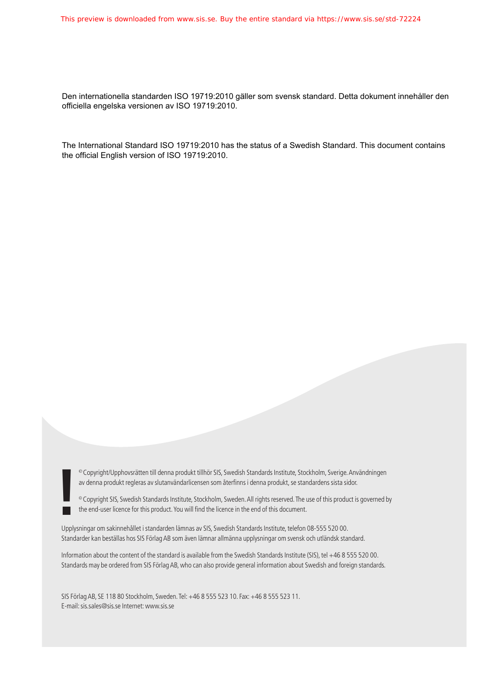Den internationella standarden ISO 19719:2010 gäller som svensk standard. Detta dokument innehåller den officiella engelska versionen av ISO 19719:2010.

The International Standard ISO 19719:2010 has the status of a Swedish Standard. This document contains the official English version of ISO 19719:2010.

© Copyright/Upphovsrätten till denna produkt tillhör SIS, Swedish Standards Institute, Stockholm, Sverige. Användningen av denna produkt regleras av slutanvändarlicensen som återfinns i denna produkt, se standardens sista sidor.

© Copyright/Upphovsrätten till denna produkt tillhör SIS, Swedish Standards Institute, Stockholm, Sverige. Användningen<br>av denna produkt regleras av slutanvändarlicensen som återfinns i denna produkt, se standardens sista

Upplysningar om sakinnehållet i standarden lämnas av SIS, Swedish Standards Institute, telefon 08-555 520 00. Standarder kan beställas hos SIS Förlag AB som även lämnar allmänna upplysningar om svensk och utländsk standard.

Information about the content of the standard is available from the Swedish Standards Institute (SIS), tel +46 8 555 520 00. Standards may be ordered from SIS Förlag AB, who can also provide general information about Swedish and foreign standards.

SIS Förlag AB, SE 118 80 Stockholm, Sweden. Tel: +46 8 555 523 10. Fax: +46 8 555 523 11. E-mail: sis.sales@sis.se Internet: www.sis.se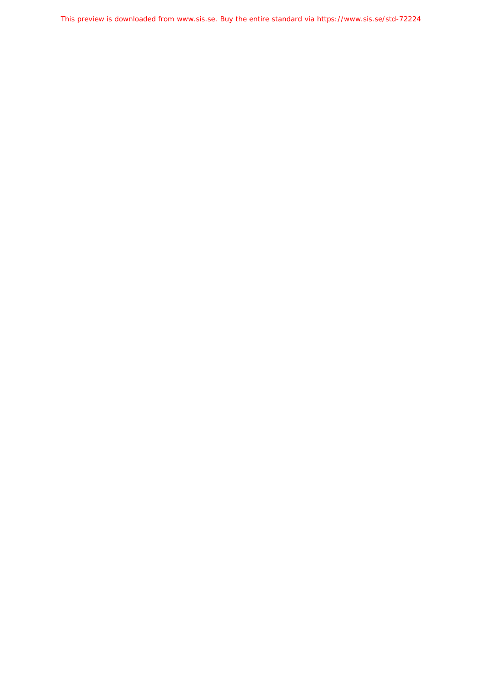This preview is downloaded from www.sis.se. Buy the entire standard via https://www.sis.se/std-72224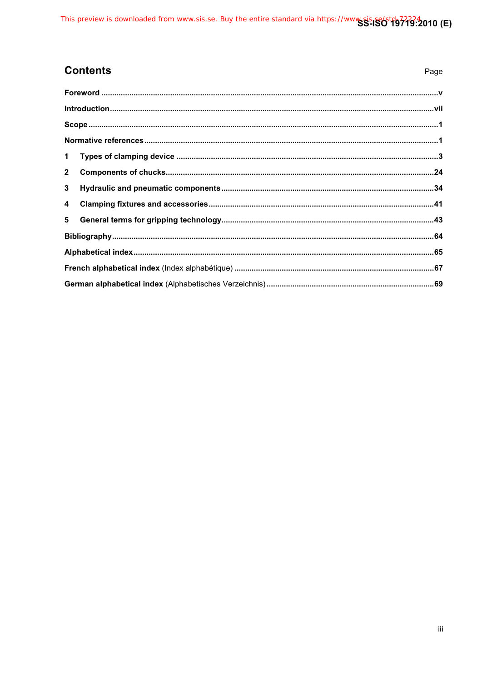## **Contents**

| 1 <sub>1</sub>          |  |
|-------------------------|--|
| 2 <sup>7</sup>          |  |
| $\mathbf{3}$            |  |
| $\overline{\mathbf{4}}$ |  |
| 5                       |  |
|                         |  |
|                         |  |
|                         |  |
|                         |  |

Page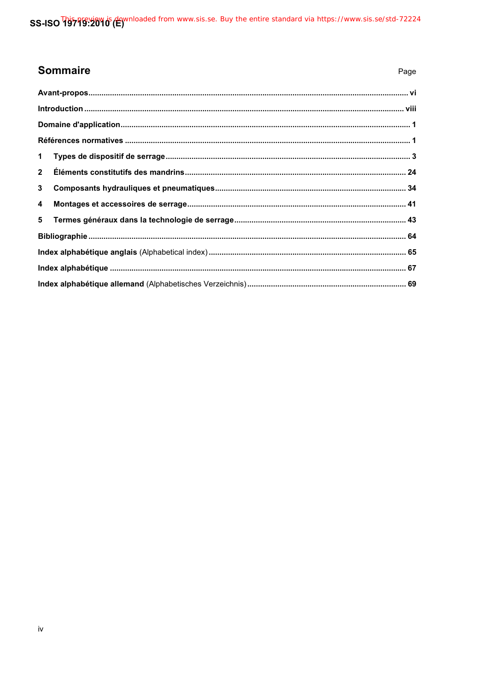|                | <b>Sommaire</b><br>Page |  |
|----------------|-------------------------|--|
|                |                         |  |
|                |                         |  |
|                |                         |  |
|                |                         |  |
| $\mathbf 1$    |                         |  |
| $\overline{2}$ |                         |  |
| 3              |                         |  |
| 4              |                         |  |
| $5 -$          |                         |  |
|                |                         |  |
|                |                         |  |
|                |                         |  |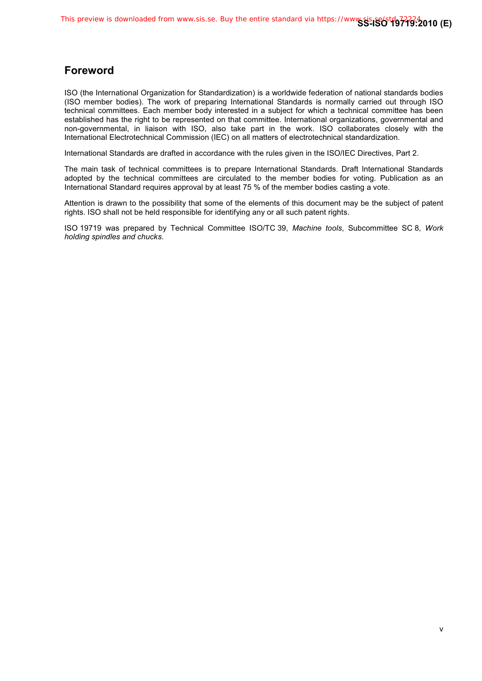**ISO 19719:2010(E/F)**

### **Foreword**

ISO (the International Organization for Standardization) is a worldwide federation of national standards bodies (ISO member bodies). The work of preparing International Standards is normally carried out through ISO technical committees. Each member body interested in a subject for which a technical committee has been established has the right to be represented on that committee. International organizations, governmental and non-governmental, in liaison with ISO, also take part in the work. ISO collaborates closely with the International Electrotechnical Commission (IEC) on all matters of electrotechnical standardization.

International Standards are drafted in accordance with the rules given in the ISO/IEC Directives, Part 2.

The main task of technical committees is to prepare International Standards. Draft International Standards adopted by the technical committees are circulated to the member bodies for voting. Publication as an International Standard requires approval by at least 75 % of the member bodies casting a vote.

Attention is drawn to the possibility that some of the elements of this document may be the subject of patent rights. ISO shall not be held responsible for identifying any or all such patent rights.

ISO 19719 was prepared by Technical Committee ISO/TC 39, *Machine tools*, Subcommittee SC 8, *Work holding spindles and chucks*.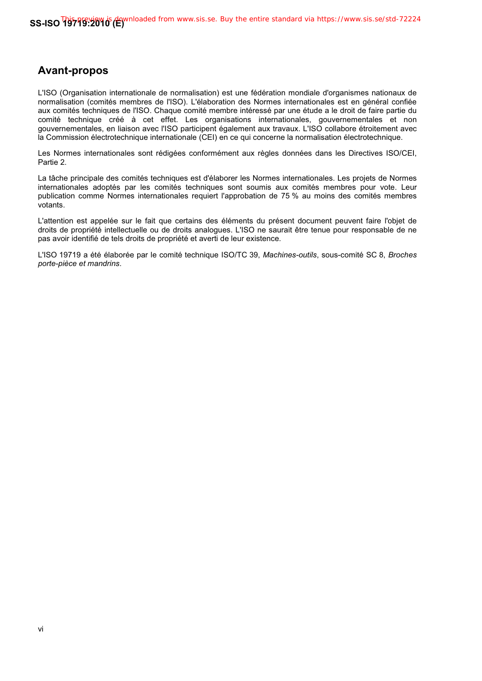### **Avant-propos**

**ISO 19719:2010(E/F)**

L'ISO (Organisation internationale de normalisation) est une fédération mondiale d'organismes nationaux de normalisation (comités membres de l'ISO). L'élaboration des Normes internationales est en général confiée aux comités techniques de l'ISO. Chaque comité membre intéressé par une étude a le droit de faire partie du comité technique créé à cet effet. Les organisations internationales, gouvernementales et non gouvernementales, en liaison avec l'ISO participent également aux travaux. L'ISO collabore étroitement avec la Commission électrotechnique internationale (CEI) en ce qui concerne la normalisation électrotechnique.

Les Normes internationales sont rédigées conformément aux règles données dans les Directives ISO/CEI, Partie 2.

La tâche principale des comités techniques est d'élaborer les Normes internationales. Les projets de Normes internationales adoptés par les comités techniques sont soumis aux comités membres pour vote. Leur publication comme Normes internationales requiert l'approbation de 75 % au moins des comités membres votants.

L'attention est appelée sur le fait que certains des éléments du présent document peuvent faire l'objet de droits de propriété intellectuelle ou de droits analogues. L'ISO ne saurait être tenue pour responsable de ne pas avoir identifié de tels droits de propriété et averti de leur existence.

L'ISO 19719 a été élaborée par le comité technique ISO/TC 39, *Machines-outils*, sous-comité SC 8, *Broches porte-pièce et mandrins*.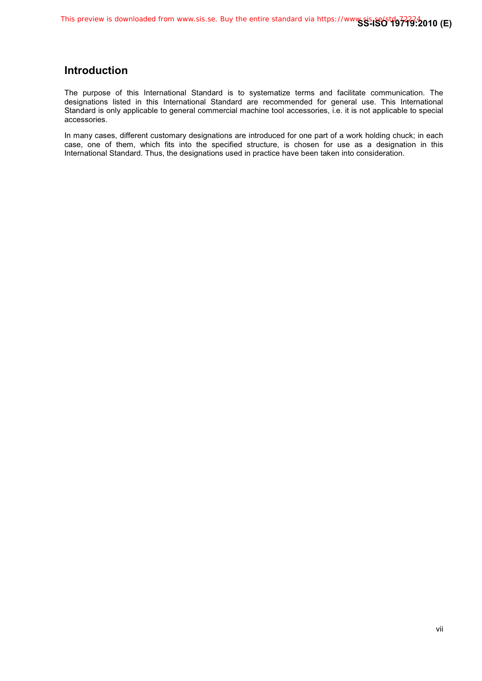**ISO 19719:2010(E/F)**

## **Introduction**

The purpose of this International Standard is to systematize terms and facilitate communication. The designations listed in this International Standard are recommended for general use. This International Standard is only applicable to general commercial machine tool accessories, i.e. it is not applicable to special accessories.

In many cases, different customary designations are introduced for one part of a work holding chuck; in each case, one of them, which fits into the specified structure, is chosen for use as a designation in this International Standard. Thus, the designations used in practice have been taken into consideration.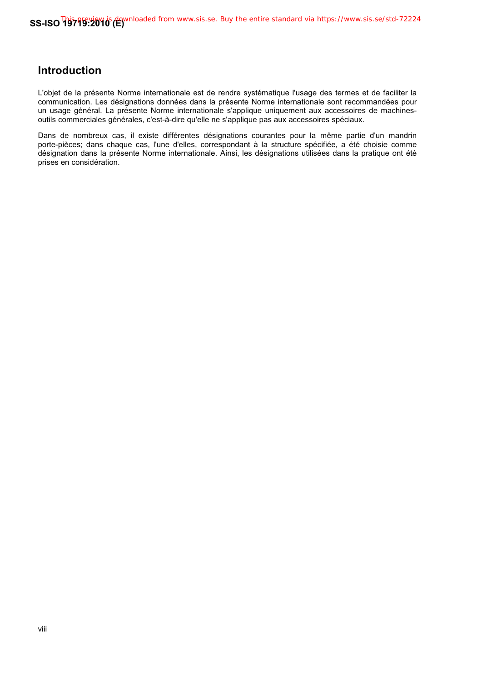## **Introduction**

**ISO 19719:2010(E/F)**

L'objet de la présente Norme internationale est de rendre systématique l'usage des termes et de faciliter la communication. Les désignations données dans la présente Norme internationale sont recommandées pour un usage général. La présente Norme internationale s'applique uniquement aux accessoires de machinesoutils commerciales générales, c'est-à-dire qu'elle ne s'applique pas aux accessoires spéciaux.

Dans de nombreux cas, il existe différentes désignations courantes pour la même partie d'un mandrin porte-pièces; dans chaque cas, l'une d'elles, correspondant à la structure spécifiée, a été choisie comme désignation dans la présente Norme internationale. Ainsi, les désignations utilisées dans la pratique ont été prises en considération.